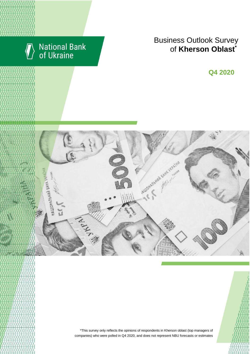

# National Bank<br>of Ukraine

## **Business Outlook Survey for Kherson Oblast**<sup>\*</sup>

**Q2 2018 Q4 2020**



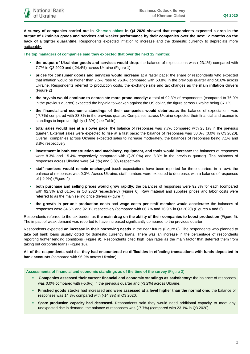**A survey of companies carried out in Kherson oblast in Q4 2020 showed that respondents expected a drop in the output of Ukrainian goods and services and weaker performance by their companies over the next 12 months on the back of a tighter quarantine.** Respondents expected inflation to increase and the domestic currency to depreciate more noticeably.

**The top managers of companies said they expected that over the next 12 months:**

- **the output of Ukrainian goods and services would drop**: the balance of expectations was (-23.1%) compared with 7.7% in Q3 2020 and (-24.4%) across Ukraine (Figure 1)
- **prices for consumer goods and services would increase** at a faster pace: the share of respondents who expected that inflation would be higher than 7.5% rose to 76.9% compared with 53.8% in the previous quarter and 50.8% across Ukraine. Respondents referred to production costs, the exchange rate and tax changes as the **main inflation drivers** (Figure 2)
- **the hryvnia would continue to depreciate more pronouncedly:** a total of 92.3% of respondents (compared to 76.9% in the previous quarter) expected the hryvnia to weaken against the US dollar, the figure across Ukraine being 87.1%
- **the financial and economic standings of their companies would deteriorate:** the balance of expectations was (-7.7%) compared with 33.3% in the previous quarter. Companies across Ukraine expected their financial and economic standings to improve slightly (1.3%) (see Table)
- **total sales would rise at a slower pace**: the balance of responses was 7.7% compared with 23.1% in the previous quarter. External sales were expected to rise at a fast pace: the balance of responses was 50.0% (0.0% in Q3 2020). Overall, companies across Ukraine expected sales to increase moderately, the balances of responses being 7.1% and 3.8% respectively
- **investment in both construction and machinery, equipment, and tools would increase:** the balances of responses were 8.3% and 15.4% respectively compared with ((-30.0%) and 8.3% in the previous quarter). The balances of responses across Ukraine were (-4.5%) and 3.8% respectively
- **staff numbers would remain unchanged** (such expectations have been reported for three quarters in a row): the balance of responses was 0.0%. Across Ukraine, staff numbers were expected to decrease, with a balance of responses of (-9.9%) (Figure 4)
- **both purchase and selling prices would grow rapidly:** the balances of responses were 92.3% for each (compared with 92.3% and 61.5% in Q3 2020 respectively) (Figure 6). Raw material and supplies prices and labor costs were referred to as the main selling price drivers (Figure 7)
- **the growth in per-unit production costs** and **wage costs per staff member would accelerate:** the balances of responses were 84.6% and 92.3% respectively (compared with 66.7% and 76.9% in Q3 2020) (Figures 4 and 6).

Respondents referred to the tax burden as **the main drag on the ability of their companies to boost production** (Figure 5). The impact of weak demand was reported to have increased significantly compared to the previous quarter.

Respondents expected **an increase in their borrowing needs** in the near future (Figure 8). The respondents who planned to take out bank loans usually opted for domestic currency loans. There was an increase in the percentage of respondents reporting tighter lending conditions (Figure 9). Respondents cited high loan rates as the main factor that deterred them from taking out corporate loans (Figure 10).

**All of the respondents** said that **they had encountered no difficulties in effecting transactions with funds deposited in bank accounts** (compared with 96.9% across Ukraine).

**Assessments of financial and economic standings as of the time of the survey** (Figure 3)

- **Companies assessed their current financial and economic standings as satisfactory:** the balance of responses was 0.0% compared with (-5.6%) in the previous quarter and (-3.2%) across Ukraine.
- **Finished goods stocks** had increased and **were assessed at a level higher than the normal one:** the balance of responses was 14.3% compared with (-14.3%) in Q3 2020.
- **Spare production capacity had decreased.** Respondents said they would need additional capacity to meet any unexpected rise in demand: the balance of responses was (-7.7%) (compared with 23.1% in Q3 2020).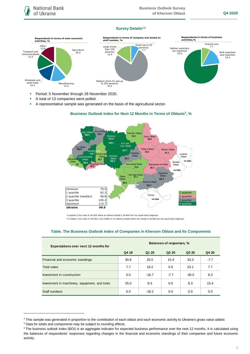### **Survey Details1,2**



- **Period: 5 November through 28 November 2020.**
- A total of 13 companies were polled.
- A representative sample was generated on the basis of the agricultural sector.



## **Business Outlook Index for Next 12 Months in Terms of Oblasts<sup>3</sup>, %**

\*a quartile is the v alue of the BOI where an ordered sample is div ided into f our equal-sized subgroups

\*\*a median is the v alue of the BOI in the middle of an ordered sampled where the sample is divided into two equal-sized subgroups

#### **Table. The Business Outlook Index of Companies in Kherson Oblast and Its Components**

| <b>Expectations over next 12 months for</b>   | Balances of responses, % |         |                               |         |        |
|-----------------------------------------------|--------------------------|---------|-------------------------------|---------|--------|
|                                               | Q4 19                    | Q1 20   | Q <sub>2</sub> 2 <sub>0</sub> | Q3 20   | Q4 20  |
| Financial and economic standings              | 30.8                     | 25.0    | 15.4                          | 33.3    | $-7.7$ |
| <b>Total sales</b>                            | 7.7                      | 18.2    | 0.0                           | 23.1    | 7.7    |
| Investment in construction                    | 0.0                      | $-16.7$ | $-7.7$                        | $-30.0$ | 8.3    |
| Investment in machinery, equipment, and tools | 25.0                     | 8.3     | 0.0                           | 8.3     | 15.4   |
| Staff numbers                                 | 0.0                      | $-18.2$ | 0.0                           | 0.0     | 0.0    |

<sup>2</sup> Data for totals and components may be subject to rounding effects.

1

<sup>1</sup> This sample was generated in proportion to the contribution of each oblast and each economic activity to Ukraine's gross value added.

<sup>&</sup>lt;sup>3</sup> The business outlook index (BOI) is an aggregate indicator for expected business performance over the next 12 months. It is calculated using the balances of respondents' responses regarding changes in the financial and economic standings of their companies and future economic activity.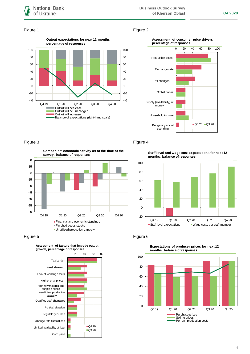

#### Figure 1 Figure 2







**Companies' economic activity as of the time of the survey, balance of responses**







## Figure 3 Figure 4

**Staff level and wage cost expectations for next 12 months, balance of responses**





**Expectations of producer prices for next 12 months, balance of responses**